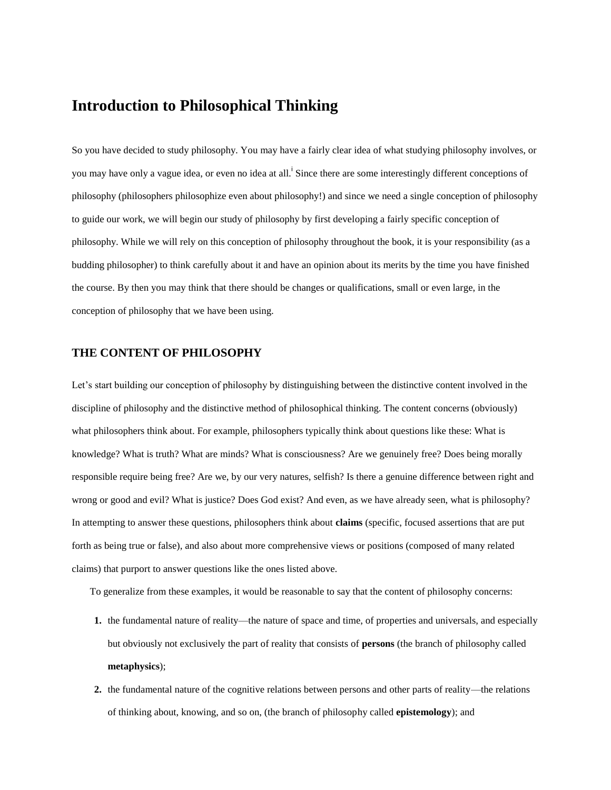# **Introduction to Philosophical Thinking**

So you have decided to study philosophy. You may have a fairly clear idea of what studying philosophy involves, or you may have only a vague idea, or even no idea at all.<sup>i</sup> Since there are some interestingly different conceptions of philosophy (philosophers philosophize even about philosophy!) and since we need a single conception of philosophy to guide our work, we will begin our study of philosophy by first developing a fairly specific conception of philosophy. While we will rely on this conception of philosophy throughout the book, it is your responsibility (as a budding philosopher) to think carefully about it and have an opinion about its merits by the time you have finished the course. By then you may think that there should be changes or qualifications, small or even large, in the conception of philosophy that we have been using.

### **THE CONTENT OF PHILOSOPHY**

Let's start building our conception of philosophy by distinguishing between the distinctive content involved in the discipline of philosophy and the distinctive method of philosophical thinking. The content concerns (obviously) what philosophers think about. For example, philosophers typically think about questions like these: What is knowledge? What is truth? What are minds? What is consciousness? Are we genuinely free? Does being morally responsible require being free? Are we, by our very natures, selfish? Is there a genuine difference between right and wrong or good and evil? What is justice? Does God exist? And even, as we have already seen, what is philosophy? In attempting to answer these questions, philosophers think about **claims** (specific, focused assertions that are put forth as being true or false), and also about more comprehensive views or positions (composed of many related claims) that purport to answer questions like the ones listed above.

To generalize from these examples, it would be reasonable to say that the content of philosophy concerns:

- 1. the fundamental nature of reality—the nature of space and time, of properties and universals, and especially but obviously not exclusively the part of reality that consists of **persons** (the branch of philosophy called **metaphysics**);
- **2.** the fundamental nature of the cognitive relations between persons and other parts of reality—the relations of thinking about, knowing, and so on, (the branch of philosophy called **epistemology**); and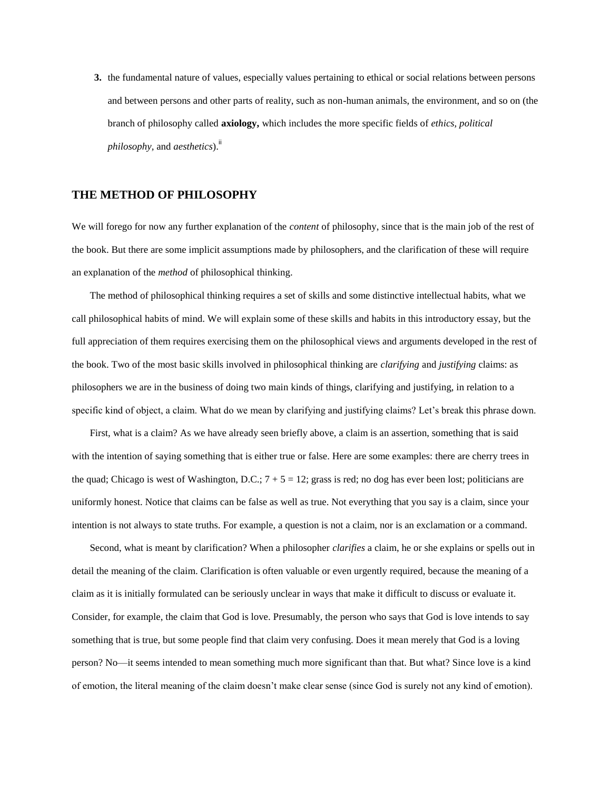**3.** the fundamental nature of values, especially values pertaining to ethical or social relations between persons and between persons and other parts of reality, such as non-human animals, the environment, and so on (the branch of philosophy called **axiology,** which includes the more specific fields of *ethics, political philosophy, and <i>aesthetics*).<sup>ii</sup>

### **THE METHOD OF PHILOSOPHY**

We will forego for now any further explanation of the *content* of philosophy, since that is the main job of the rest of the book. But there are some implicit assumptions made by philosophers, and the clarification of these will require an explanation of the *method* of philosophical thinking.

The method of philosophical thinking requires a set of skills and some distinctive intellectual habits, what we call philosophical habits of mind. We will explain some of these skills and habits in this introductory essay, but the full appreciation of them requires exercising them on the philosophical views and arguments developed in the rest of the book. Two of the most basic skills involved in philosophical thinking are *clarifying* and *justifying* claims: as philosophers we are in the business of doing two main kinds of things, clarifying and justifying, in relation to a specific kind of object, a claim. What do we mean by clarifying and justifying claims? Let's break this phrase down.

First, what is a claim? As we have already seen briefly above, a claim is an assertion, something that is said with the intention of saying something that is either true or false. Here are some examples: there are cherry trees in the quad; Chicago is west of Washington, D.C.;  $7 + 5 = 12$ ; grass is red; no dog has ever been lost; politicians are uniformly honest. Notice that claims can be false as well as true. Not everything that you say is a claim, since your intention is not always to state truths. For example, a question is not a claim, nor is an exclamation or a command.

Second, what is meant by clarification? When a philosopher *clarifies* a claim, he or she explains or spells out in detail the meaning of the claim. Clarification is often valuable or even urgently required, because the meaning of a claim as it is initially formulated can be seriously unclear in ways that make it difficult to discuss or evaluate it. Consider, for example, the claim that God is love. Presumably, the person who says that God is love intends to say something that is true, but some people find that claim very confusing. Does it mean merely that God is a loving person? No—it seems intended to mean something much more significant than that. But what? Since love is a kind of emotion, the literal meaning of the claim doesn't make clear sense (since God is surely not any kind of emotion).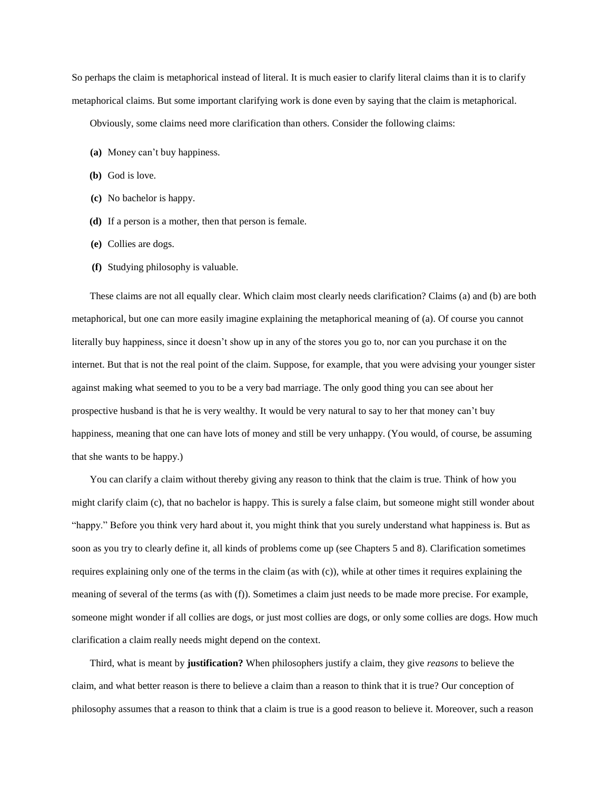So perhaps the claim is metaphorical instead of literal. It is much easier to clarify literal claims than it is to clarify metaphorical claims. But some important clarifying work is done even by saying that the claim is metaphorical.

Obviously, some claims need more clarification than others. Consider the following claims:

- **(a)** Money can't buy happiness.
- **(b)** God is love.
- **(c)** No bachelor is happy.
- **(d)** If a person is a mother, then that person is female.
- **(e)** Collies are dogs.
- **(f)** Studying philosophy is valuable.

These claims are not all equally clear. Which claim most clearly needs clarification? Claims (a) and (b) are both metaphorical, but one can more easily imagine explaining the metaphorical meaning of (a). Of course you cannot literally buy happiness, since it doesn't show up in any of the stores you go to, nor can you purchase it on the internet. But that is not the real point of the claim. Suppose, for example, that you were advising your younger sister against making what seemed to you to be a very bad marriage. The only good thing you can see about her prospective husband is that he is very wealthy. It would be very natural to say to her that money can't buy happiness, meaning that one can have lots of money and still be very unhappy. (You would, of course, be assuming that she wants to be happy.)

You can clarify a claim without thereby giving any reason to think that the claim is true. Think of how you might clarify claim (c), that no bachelor is happy. This is surely a false claim, but someone might still wonder about "happy." Before you think very hard about it, you might think that you surely understand what happiness is. But as soon as you try to clearly define it, all kinds of problems come up (see Chapters 5 and 8). Clarification sometimes requires explaining only one of the terms in the claim (as with (c)), while at other times it requires explaining the meaning of several of the terms (as with (f)). Sometimes a claim just needs to be made more precise. For example, someone might wonder if all collies are dogs, or just most collies are dogs, or only some collies are dogs. How much clarification a claim really needs might depend on the context.

Third, what is meant by **justification?** When philosophers justify a claim, they give *reasons* to believe the claim, and what better reason is there to believe a claim than a reason to think that it is true? Our conception of philosophy assumes that a reason to think that a claim is true is a good reason to believe it. Moreover, such a reason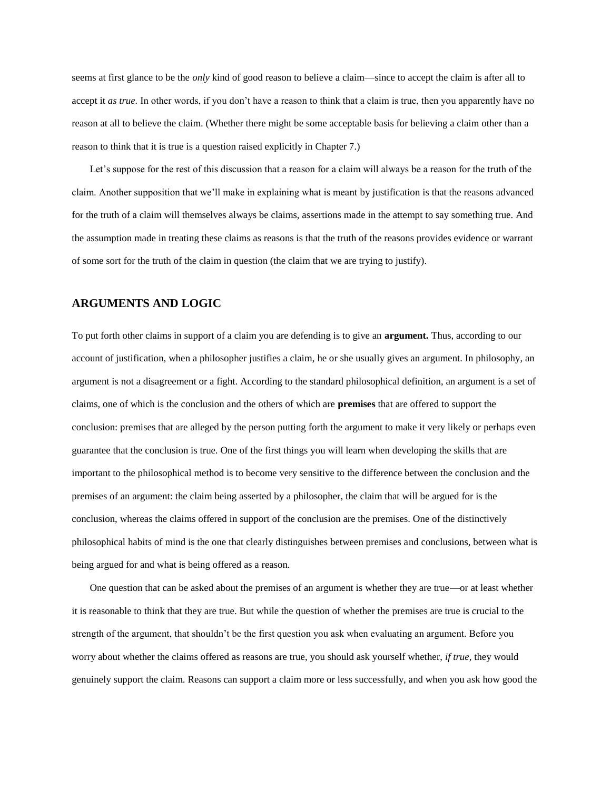seems at first glance to be the *only* kind of good reason to believe a claim—since to accept the claim is after all to accept it *as true*. In other words, if you don't have a reason to think that a claim is true, then you apparently have no reason at all to believe the claim. (Whether there might be some acceptable basis for believing a claim other than a reason to think that it is true is a question raised explicitly in Chapter 7.)

Let's suppose for the rest of this discussion that a reason for a claim will always be a reason for the truth of the claim. Another supposition that we'll make in explaining what is meant by justification is that the reasons advanced for the truth of a claim will themselves always be claims, assertions made in the attempt to say something true. And the assumption made in treating these claims as reasons is that the truth of the reasons provides evidence or warrant of some sort for the truth of the claim in question (the claim that we are trying to justify).

### **ARGUMENTS AND LOGIC**

To put forth other claims in support of a claim you are defending is to give an **argument.** Thus, according to our account of justification, when a philosopher justifies a claim, he or she usually gives an argument. In philosophy, an argument is not a disagreement or a fight. According to the standard philosophical definition, an argument is a set of claims, one of which is the conclusion and the others of which are **premises** that are offered to support the conclusion: premises that are alleged by the person putting forth the argument to make it very likely or perhaps even guarantee that the conclusion is true. One of the first things you will learn when developing the skills that are important to the philosophical method is to become very sensitive to the difference between the conclusion and the premises of an argument: the claim being asserted by a philosopher, the claim that will be argued for is the conclusion, whereas the claims offered in support of the conclusion are the premises. One of the distinctively philosophical habits of mind is the one that clearly distinguishes between premises and conclusions, between what is being argued for and what is being offered as a reason.

One question that can be asked about the premises of an argument is whether they are true—or at least whether it is reasonable to think that they are true. But while the question of whether the premises are true is crucial to the strength of the argument, that shouldn't be the first question you ask when evaluating an argument. Before you worry about whether the claims offered as reasons are true, you should ask yourself whether, *if true,* they would genuinely support the claim. Reasons can support a claim more or less successfully, and when you ask how good the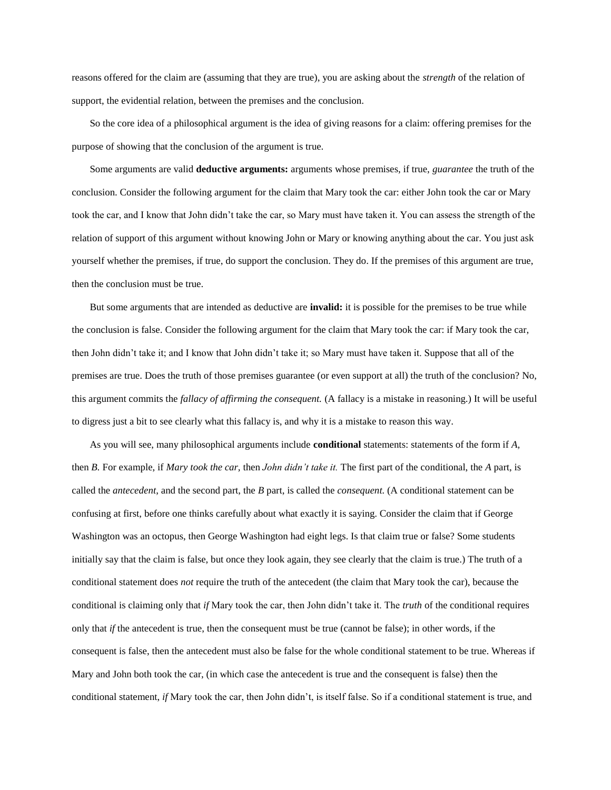reasons offered for the claim are (assuming that they are true), you are asking about the *strength* of the relation of support, the evidential relation, between the premises and the conclusion.

So the core idea of a philosophical argument is the idea of giving reasons for a claim: offering premises for the purpose of showing that the conclusion of the argument is true.

Some arguments are valid **deductive arguments:** arguments whose premises, if true, *guarantee* the truth of the conclusion. Consider the following argument for the claim that Mary took the car: either John took the car or Mary took the car, and I know that John didn't take the car, so Mary must have taken it. You can assess the strength of the relation of support of this argument without knowing John or Mary or knowing anything about the car. You just ask yourself whether the premises, if true, do support the conclusion. They do. If the premises of this argument are true, then the conclusion must be true.

But some arguments that are intended as deductive are **invalid:** it is possible for the premises to be true while the conclusion is false. Consider the following argument for the claim that Mary took the car: if Mary took the car, then John didn't take it; and I know that John didn't take it; so Mary must have taken it. Suppose that all of the premises are true. Does the truth of those premises guarantee (or even support at all) the truth of the conclusion? No, this argument commits the *fallacy of affirming the consequent.* (A fallacy is a mistake in reasoning.) It will be useful to digress just a bit to see clearly what this fallacy is, and why it is a mistake to reason this way.

As you will see, many philosophical arguments include **conditional** statements: statements of the form if *A,* then *B.* For example, if *Mary took the car,* then *John didn't take it.* The first part of the conditional, the *A* part, is called the *antecedent*, and the second part, the *B* part, is called the *consequent.* (A conditional statement can be confusing at first, before one thinks carefully about what exactly it is saying. Consider the claim that if George Washington was an octopus, then George Washington had eight legs. Is that claim true or false? Some students initially say that the claim is false, but once they look again, they see clearly that the claim is true.) The truth of a conditional statement does *not* require the truth of the antecedent (the claim that Mary took the car), because the conditional is claiming only that *if* Mary took the car, then John didn't take it. The *truth* of the conditional requires only that *if* the antecedent is true, then the consequent must be true (cannot be false); in other words, if the consequent is false, then the antecedent must also be false for the whole conditional statement to be true. Whereas if Mary and John both took the car, (in which case the antecedent is true and the consequent is false) then the conditional statement, *if* Mary took the car, then John didn't, is itself false. So if a conditional statement is true, and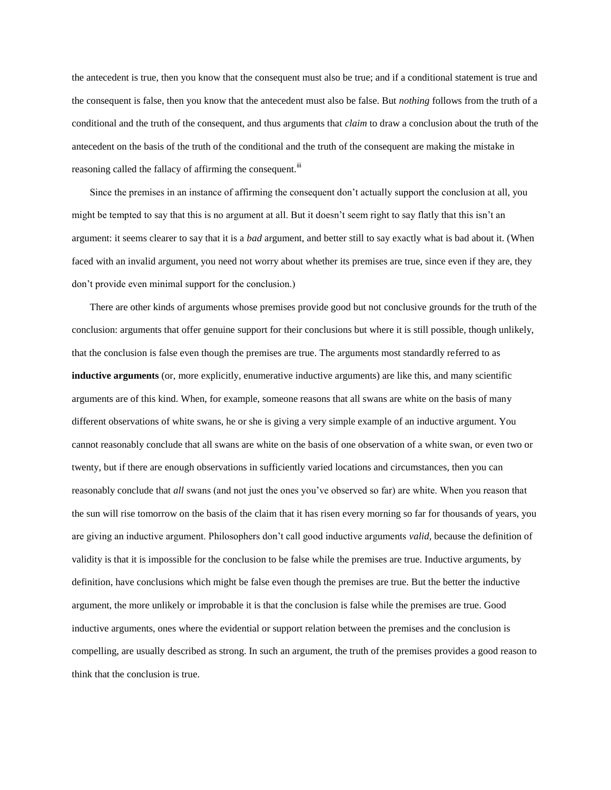the antecedent is true, then you know that the consequent must also be true; and if a conditional statement is true and the consequent is false, then you know that the antecedent must also be false. But *nothing* follows from the truth of a conditional and the truth of the consequent, and thus arguments that *claim* to draw a conclusion about the truth of the antecedent on the basis of the truth of the conditional and the truth of the consequent are making the mistake in reasoning called the fallacy of affirming the consequent.<sup>iii</sup>

Since the premises in an instance of affirming the consequent don't actually support the conclusion at all, you might be tempted to say that this is no argument at all. But it doesn't seem right to say flatly that this isn't an argument: it seems clearer to say that it is a *bad* argument, and better still to say exactly what is bad about it. (When faced with an invalid argument, you need not worry about whether its premises are true, since even if they are, they don't provide even minimal support for the conclusion.)

There are other kinds of arguments whose premises provide good but not conclusive grounds for the truth of the conclusion: arguments that offer genuine support for their conclusions but where it is still possible, though unlikely, that the conclusion is false even though the premises are true. The arguments most standardly referred to as **inductive arguments** (or, more explicitly, enumerative inductive arguments) are like this, and many scientific arguments are of this kind. When, for example, someone reasons that all swans are white on the basis of many different observations of white swans, he or she is giving a very simple example of an inductive argument. You cannot reasonably conclude that all swans are white on the basis of one observation of a white swan, or even two or twenty, but if there are enough observations in sufficiently varied locations and circumstances, then you can reasonably conclude that *all* swans (and not just the ones you've observed so far) are white. When you reason that the sun will rise tomorrow on the basis of the claim that it has risen every morning so far for thousands of years, you are giving an inductive argument. Philosophers don't call good inductive arguments *valid*, because the definition of validity is that it is impossible for the conclusion to be false while the premises are true. Inductive arguments, by definition, have conclusions which might be false even though the premises are true. But the better the inductive argument, the more unlikely or improbable it is that the conclusion is false while the premises are true. Good inductive arguments, ones where the evidential or support relation between the premises and the conclusion is compelling, are usually described as strong. In such an argument, the truth of the premises provides a good reason to think that the conclusion is true.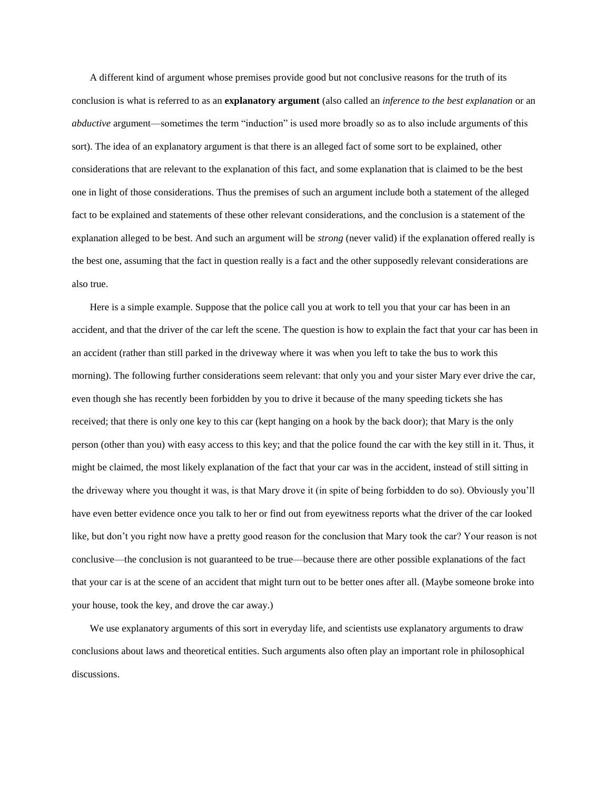A different kind of argument whose premises provide good but not conclusive reasons for the truth of its conclusion is what is referred to as an **explanatory argument** (also called an *inference to the best explanation* or an *abductive* argument—sometimes the term "induction" is used more broadly so as to also include arguments of this sort). The idea of an explanatory argument is that there is an alleged fact of some sort to be explained, other considerations that are relevant to the explanation of this fact, and some explanation that is claimed to be the best one in light of those considerations. Thus the premises of such an argument include both a statement of the alleged fact to be explained and statements of these other relevant considerations, and the conclusion is a statement of the explanation alleged to be best. And such an argument will be *strong* (never valid) if the explanation offered really is the best one, assuming that the fact in question really is a fact and the other supposedly relevant considerations are also true.

Here is a simple example. Suppose that the police call you at work to tell you that your car has been in an accident, and that the driver of the car left the scene. The question is how to explain the fact that your car has been in an accident (rather than still parked in the driveway where it was when you left to take the bus to work this morning). The following further considerations seem relevant: that only you and your sister Mary ever drive the car, even though she has recently been forbidden by you to drive it because of the many speeding tickets she has received; that there is only one key to this car (kept hanging on a hook by the back door); that Mary is the only person (other than you) with easy access to this key; and that the police found the car with the key still in it. Thus, it might be claimed, the most likely explanation of the fact that your car was in the accident, instead of still sitting in the driveway where you thought it was, is that Mary drove it (in spite of being forbidden to do so). Obviously you'll have even better evidence once you talk to her or find out from eyewitness reports what the driver of the car looked like, but don't you right now have a pretty good reason for the conclusion that Mary took the car? Your reason is not conclusive—the conclusion is not guaranteed to be true—because there are other possible explanations of the fact that your car is at the scene of an accident that might turn out to be better ones after all. (Maybe someone broke into your house, took the key, and drove the car away.)

We use explanatory arguments of this sort in everyday life, and scientists use explanatory arguments to draw conclusions about laws and theoretical entities. Such arguments also often play an important role in philosophical discussions.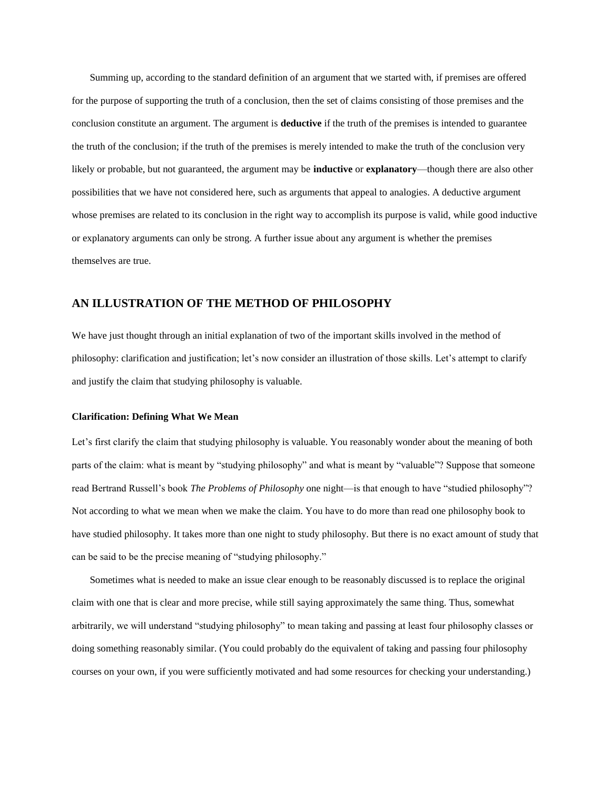Summing up, according to the standard definition of an argument that we started with, if premises are offered for the purpose of supporting the truth of a conclusion, then the set of claims consisting of those premises and the conclusion constitute an argument. The argument is **deductive** if the truth of the premises is intended to guarantee the truth of the conclusion; if the truth of the premises is merely intended to make the truth of the conclusion very likely or probable, but not guaranteed, the argument may be **inductive** or **explanatory**—though there are also other possibilities that we have not considered here, such as arguments that appeal to analogies. A deductive argument whose premises are related to its conclusion in the right way to accomplish its purpose is valid, while good inductive or explanatory arguments can only be strong. A further issue about any argument is whether the premises themselves are true.

### **AN ILLUSTRATION OF THE METHOD OF PHILOSOPHY**

We have just thought through an initial explanation of two of the important skills involved in the method of philosophy: clarification and justification; let's now consider an illustration of those skills. Let's attempt to clarify and justify the claim that studying philosophy is valuable.

### **Clarification: Defining What We Mean**

Let's first clarify the claim that studying philosophy is valuable. You reasonably wonder about the meaning of both parts of the claim: what is meant by "studying philosophy" and what is meant by "valuable"? Suppose that someone read Bertrand Russell's book *The Problems of Philosophy* one night—is that enough to have "studied philosophy"? Not according to what we mean when we make the claim. You have to do more than read one philosophy book to have studied philosophy. It takes more than one night to study philosophy. But there is no exact amount of study that can be said to be the precise meaning of "studying philosophy."

Sometimes what is needed to make an issue clear enough to be reasonably discussed is to replace the original claim with one that is clear and more precise, while still saying approximately the same thing. Thus, somewhat arbitrarily, we will understand "studying philosophy" to mean taking and passing at least four philosophy classes or doing something reasonably similar. (You could probably do the equivalent of taking and passing four philosophy courses on your own, if you were sufficiently motivated and had some resources for checking your understanding.)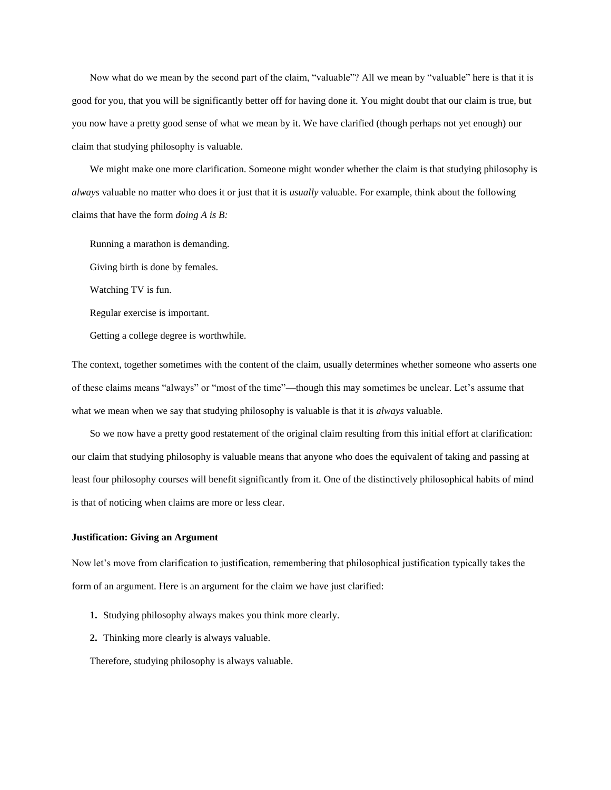Now what do we mean by the second part of the claim, "valuable"? All we mean by "valuable" here is that it is good for you, that you will be significantly better off for having done it. You might doubt that our claim is true, but you now have a pretty good sense of what we mean by it. We have clarified (though perhaps not yet enough) our claim that studying philosophy is valuable.

We might make one more clarification. Someone might wonder whether the claim is that studying philosophy is *always* valuable no matter who does it or just that it is *usually* valuable. For example, think about the following claims that have the form *doing A is B:*

Running a marathon is demanding.

Giving birth is done by females.

Watching TV is fun.

Regular exercise is important.

Getting a college degree is worthwhile.

The context, together sometimes with the content of the claim, usually determines whether someone who asserts one of these claims means "always" or "most of the time"—though this may sometimes be unclear. Let's assume that what we mean when we say that studying philosophy is valuable is that it is *always* valuable.

So we now have a pretty good restatement of the original claim resulting from this initial effort at clarification: our claim that studying philosophy is valuable means that anyone who does the equivalent of taking and passing at least four philosophy courses will benefit significantly from it. One of the distinctively philosophical habits of mind is that of noticing when claims are more or less clear.

### **Justification: Giving an Argument**

Now let's move from clarification to justification, remembering that philosophical justification typically takes the form of an argument. Here is an argument for the claim we have just clarified:

- **1.** Studying philosophy always makes you think more clearly.
- **2.** Thinking more clearly is always valuable.

Therefore, studying philosophy is always valuable.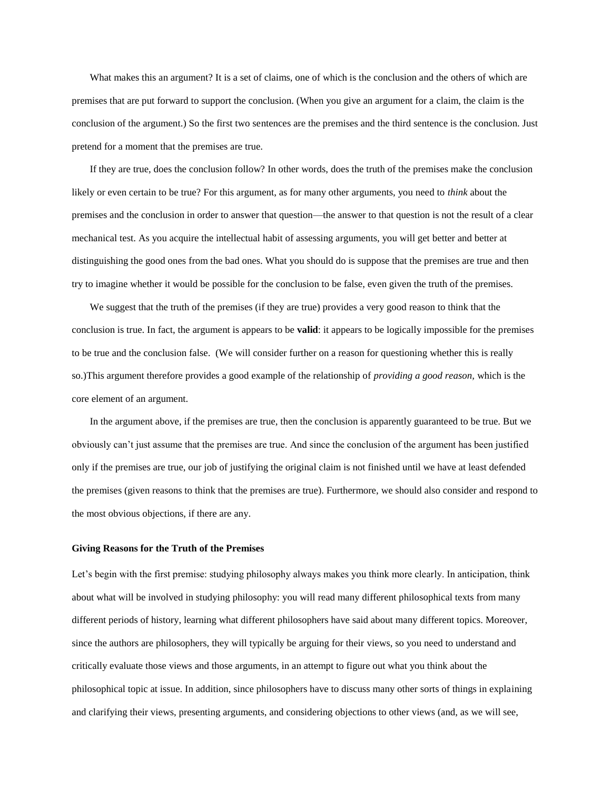What makes this an argument? It is a set of claims, one of which is the conclusion and the others of which are premises that are put forward to support the conclusion. (When you give an argument for a claim, the claim is the conclusion of the argument.) So the first two sentences are the premises and the third sentence is the conclusion. Just pretend for a moment that the premises are true.

If they are true, does the conclusion follow? In other words, does the truth of the premises make the conclusion likely or even certain to be true? For this argument, as for many other arguments, you need to *think* about the premises and the conclusion in order to answer that question—the answer to that question is not the result of a clear mechanical test. As you acquire the intellectual habit of assessing arguments, you will get better and better at distinguishing the good ones from the bad ones. What you should do is suppose that the premises are true and then try to imagine whether it would be possible for the conclusion to be false, even given the truth of the premises.

We suggest that the truth of the premises (if they are true) provides a very good reason to think that the conclusion is true. In fact, the argument is appears to be **valid**: it appears to be logically impossible for the premises to be true and the conclusion false. (We will consider further on a reason for questioning whether this is really so.)This argument therefore provides a good example of the relationship of *providing a good reason,* which is the core element of an argument.

In the argument above, if the premises are true, then the conclusion is apparently guaranteed to be true. But we obviously can't just assume that the premises are true. And since the conclusion of the argument has been justified only if the premises are true, our job of justifying the original claim is not finished until we have at least defended the premises (given reasons to think that the premises are true). Furthermore, we should also consider and respond to the most obvious objections, if there are any.

#### **Giving Reasons for the Truth of the Premises**

Let's begin with the first premise: studying philosophy always makes you think more clearly. In anticipation, think about what will be involved in studying philosophy: you will read many different philosophical texts from many different periods of history, learning what different philosophers have said about many different topics. Moreover, since the authors are philosophers, they will typically be arguing for their views, so you need to understand and critically evaluate those views and those arguments, in an attempt to figure out what you think about the philosophical topic at issue. In addition, since philosophers have to discuss many other sorts of things in explaining and clarifying their views, presenting arguments, and considering objections to other views (and, as we will see,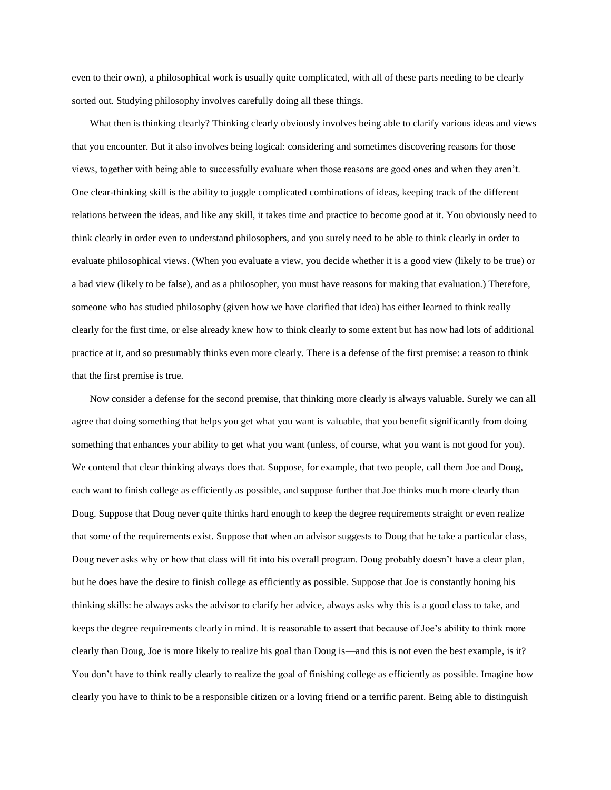even to their own), a philosophical work is usually quite complicated, with all of these parts needing to be clearly sorted out. Studying philosophy involves carefully doing all these things.

What then is thinking clearly? Thinking clearly obviously involves being able to clarify various ideas and views that you encounter. But it also involves being logical: considering and sometimes discovering reasons for those views, together with being able to successfully evaluate when those reasons are good ones and when they aren't. One clear-thinking skill is the ability to juggle complicated combinations of ideas, keeping track of the different relations between the ideas, and like any skill, it takes time and practice to become good at it. You obviously need to think clearly in order even to understand philosophers, and you surely need to be able to think clearly in order to evaluate philosophical views. (When you evaluate a view, you decide whether it is a good view (likely to be true) or a bad view (likely to be false), and as a philosopher, you must have reasons for making that evaluation.) Therefore, someone who has studied philosophy (given how we have clarified that idea) has either learned to think really clearly for the first time, or else already knew how to think clearly to some extent but has now had lots of additional practice at it, and so presumably thinks even more clearly. There is a defense of the first premise: a reason to think that the first premise is true.

Now consider a defense for the second premise, that thinking more clearly is always valuable. Surely we can all agree that doing something that helps you get what you want is valuable, that you benefit significantly from doing something that enhances your ability to get what you want (unless, of course, what you want is not good for you). We contend that clear thinking always does that. Suppose, for example, that two people, call them Joe and Doug, each want to finish college as efficiently as possible, and suppose further that Joe thinks much more clearly than Doug. Suppose that Doug never quite thinks hard enough to keep the degree requirements straight or even realize that some of the requirements exist. Suppose that when an advisor suggests to Doug that he take a particular class, Doug never asks why or how that class will fit into his overall program. Doug probably doesn't have a clear plan, but he does have the desire to finish college as efficiently as possible. Suppose that Joe is constantly honing his thinking skills: he always asks the advisor to clarify her advice, always asks why this is a good class to take, and keeps the degree requirements clearly in mind. It is reasonable to assert that because of Joe's ability to think more clearly than Doug, Joe is more likely to realize his goal than Doug is—and this is not even the best example, is it? You don't have to think really clearly to realize the goal of finishing college as efficiently as possible. Imagine how clearly you have to think to be a responsible citizen or a loving friend or a terrific parent. Being able to distinguish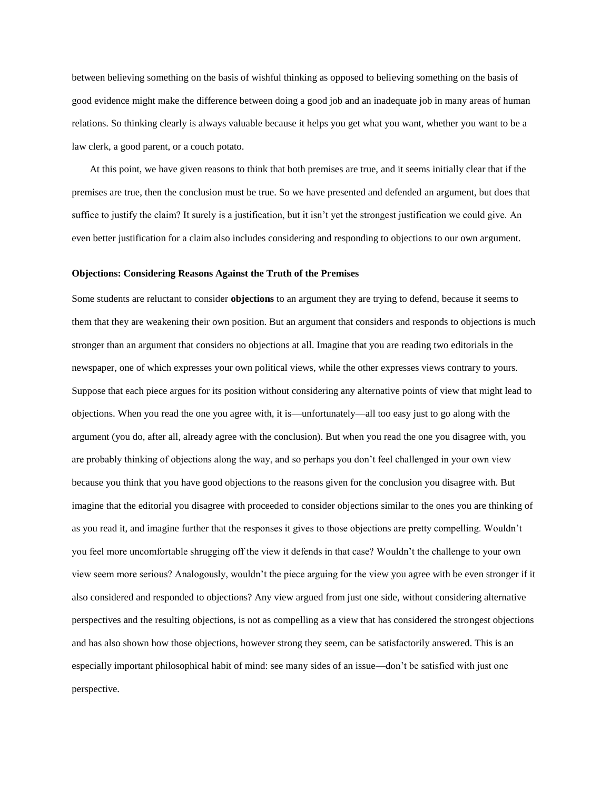between believing something on the basis of wishful thinking as opposed to believing something on the basis of good evidence might make the difference between doing a good job and an inadequate job in many areas of human relations. So thinking clearly is always valuable because it helps you get what you want, whether you want to be a law clerk, a good parent, or a couch potato.

At this point, we have given reasons to think that both premises are true, and it seems initially clear that if the premises are true, then the conclusion must be true. So we have presented and defended an argument, but does that suffice to justify the claim? It surely is a justification, but it isn't yet the strongest justification we could give. An even better justification for a claim also includes considering and responding to objections to our own argument.

#### **Objections: Considering Reasons Against the Truth of the Premises**

Some students are reluctant to consider **objections** to an argument they are trying to defend, because it seems to them that they are weakening their own position. But an argument that considers and responds to objections is much stronger than an argument that considers no objections at all. Imagine that you are reading two editorials in the newspaper, one of which expresses your own political views, while the other expresses views contrary to yours. Suppose that each piece argues for its position without considering any alternative points of view that might lead to objections. When you read the one you agree with, it is—unfortunately—all too easy just to go along with the argument (you do, after all, already agree with the conclusion). But when you read the one you disagree with, you are probably thinking of objections along the way, and so perhaps you don't feel challenged in your own view because you think that you have good objections to the reasons given for the conclusion you disagree with. But imagine that the editorial you disagree with proceeded to consider objections similar to the ones you are thinking of as you read it, and imagine further that the responses it gives to those objections are pretty compelling. Wouldn't you feel more uncomfortable shrugging off the view it defends in that case? Wouldn't the challenge to your own view seem more serious? Analogously, wouldn't the piece arguing for the view you agree with be even stronger if it also considered and responded to objections? Any view argued from just one side, without considering alternative perspectives and the resulting objections, is not as compelling as a view that has considered the strongest objections and has also shown how those objections, however strong they seem, can be satisfactorily answered. This is an especially important philosophical habit of mind: see many sides of an issue—don't be satisfied with just one perspective.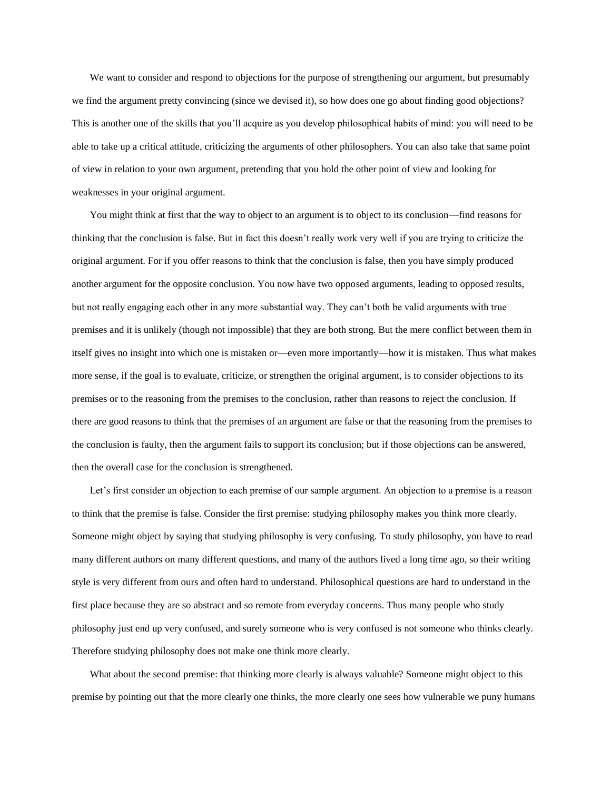We want to consider and respond to objections for the purpose of strengthening our argument, but presumably we find the argument pretty convincing (since we devised it), so how does one go about finding good objections? This is another one of the skills that you'll acquire as you develop philosophical habits of mind: you will need to be able to take up a critical attitude, criticizing the arguments of other philosophers. You can also take that same point of view in relation to your own argument, pretending that you hold the other point of view and looking for weaknesses in your original argument.

You might think at first that the way to object to an argument is to object to its conclusion—find reasons for thinking that the conclusion is false. But in fact this doesn't really work very well if you are trying to criticize the original argument. For if you offer reasons to think that the conclusion is false, then you have simply produced another argument for the opposite conclusion. You now have two opposed arguments, leading to opposed results, but not really engaging each other in any more substantial way. They can't both be valid arguments with true premises and it is unlikely (though not impossible) that they are both strong. But the mere conflict between them in itself gives no insight into which one is mistaken or—even more importantly—how it is mistaken. Thus what makes more sense, if the goal is to evaluate, criticize, or strengthen the original argument, is to consider objections to its premises or to the reasoning from the premises to the conclusion, rather than reasons to reject the conclusion. If there are good reasons to think that the premises of an argument are false or that the reasoning from the premises to the conclusion is faulty, then the argument fails to support its conclusion; but if those objections can be answered, then the overall case for the conclusion is strengthened.

Let's first consider an objection to each premise of our sample argument. An objection to a premise is a reason to think that the premise is false. Consider the first premise: studying philosophy makes you think more clearly. Someone might object by saying that studying philosophy is very confusing. To study philosophy, you have to read many different authors on many different questions, and many of the authors lived a long time ago, so their writing style is very different from ours and often hard to understand. Philosophical questions are hard to understand in the first place because they are so abstract and so remote from everyday concerns. Thus many people who study philosophy just end up very confused, and surely someone who is very confused is not someone who thinks clearly. Therefore studying philosophy does not make one think more clearly.

What about the second premise: that thinking more clearly is always valuable? Someone might object to this premise by pointing out that the more clearly one thinks, the more clearly one sees how vulnerable we puny humans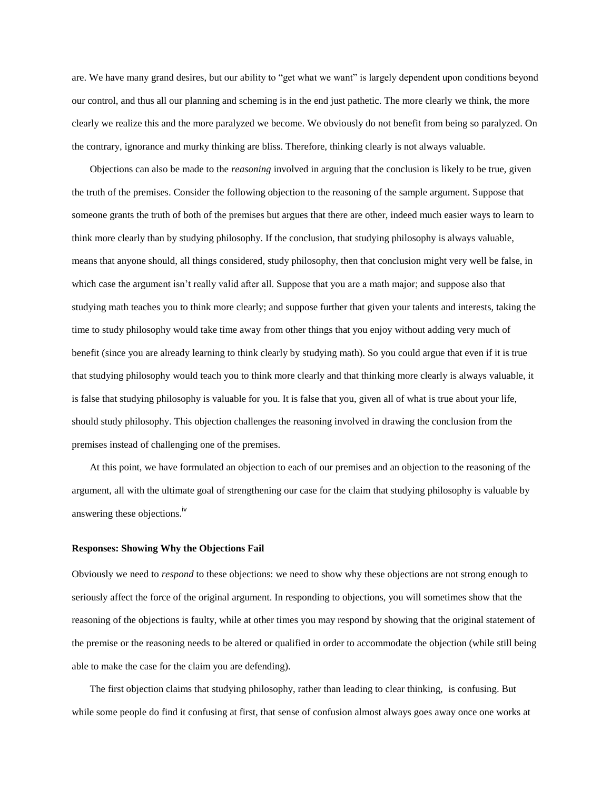are. We have many grand desires, but our ability to "get what we want" is largely dependent upon conditions beyond our control, and thus all our planning and scheming is in the end just pathetic. The more clearly we think, the more clearly we realize this and the more paralyzed we become. We obviously do not benefit from being so paralyzed. On the contrary, ignorance and murky thinking are bliss. Therefore, thinking clearly is not always valuable.

Objections can also be made to the *reasoning* involved in arguing that the conclusion is likely to be true, given the truth of the premises. Consider the following objection to the reasoning of the sample argument. Suppose that someone grants the truth of both of the premises but argues that there are other, indeed much easier ways to learn to think more clearly than by studying philosophy. If the conclusion, that studying philosophy is always valuable, means that anyone should, all things considered, study philosophy, then that conclusion might very well be false, in which case the argument isn't really valid after all. Suppose that you are a math major; and suppose also that studying math teaches you to think more clearly; and suppose further that given your talents and interests, taking the time to study philosophy would take time away from other things that you enjoy without adding very much of benefit (since you are already learning to think clearly by studying math). So you could argue that even if it is true that studying philosophy would teach you to think more clearly and that thinking more clearly is always valuable, it is false that studying philosophy is valuable for you. It is false that you, given all of what is true about your life, should study philosophy. This objection challenges the reasoning involved in drawing the conclusion from the premises instead of challenging one of the premises.

At this point, we have formulated an objection to each of our premises and an objection to the reasoning of the argument, all with the ultimate goal of strengthening our case for the claim that studying philosophy is valuable by answering these objections.<sup>iv</sup>

### **Responses: Showing Why the Objections Fail**

Obviously we need to *respond* to these objections: we need to show why these objections are not strong enough to seriously affect the force of the original argument. In responding to objections, you will sometimes show that the reasoning of the objections is faulty, while at other times you may respond by showing that the original statement of the premise or the reasoning needs to be altered or qualified in order to accommodate the objection (while still being able to make the case for the claim you are defending).

The first objection claims that studying philosophy, rather than leading to clear thinking, is confusing. But while some people do find it confusing at first, that sense of confusion almost always goes away once one works at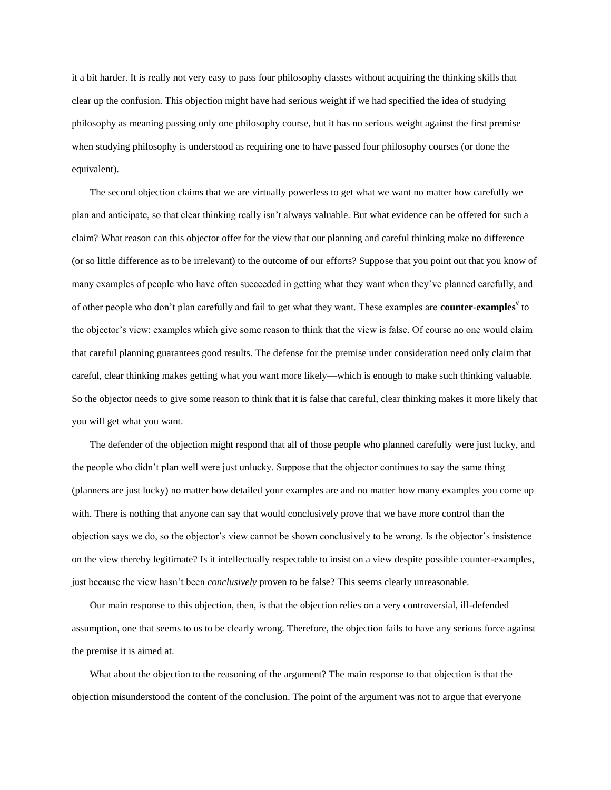it a bit harder. It is really not very easy to pass four philosophy classes without acquiring the thinking skills that clear up the confusion. This objection might have had serious weight if we had specified the idea of studying philosophy as meaning passing only one philosophy course, but it has no serious weight against the first premise when studying philosophy is understood as requiring one to have passed four philosophy courses (or done the equivalent).

The second objection claims that we are virtually powerless to get what we want no matter how carefully we plan and anticipate, so that clear thinking really isn't always valuable. But what evidence can be offered for such a claim? What reason can this objector offer for the view that our planning and careful thinking make no difference (or so little difference as to be irrelevant) to the outcome of our efforts? Suppose that you point out that you know of many examples of people who have often succeeded in getting what they want when they've planned carefully, and of other people who don't plan carefully and fail to get what they want. These examples are **counter-examples**<sup>V</sup> to the objector's view: examples which give some reason to think that the view is false. Of course no one would claim that careful planning guarantees good results. The defense for the premise under consideration need only claim that careful, clear thinking makes getting what you want more likely—which is enough to make such thinking valuable. So the objector needs to give some reason to think that it is false that careful, clear thinking makes it more likely that you will get what you want.

The defender of the objection might respond that all of those people who planned carefully were just lucky, and the people who didn't plan well were just unlucky. Suppose that the objector continues to say the same thing (planners are just lucky) no matter how detailed your examples are and no matter how many examples you come up with. There is nothing that anyone can say that would conclusively prove that we have more control than the objection says we do, so the objector's view cannot be shown conclusively to be wrong. Is the objector's insistence on the view thereby legitimate? Is it intellectually respectable to insist on a view despite possible counter-examples, just because the view hasn't been *conclusively* proven to be false? This seems clearly unreasonable.

Our main response to this objection, then, is that the objection relies on a very controversial, ill-defended assumption, one that seems to us to be clearly wrong. Therefore, the objection fails to have any serious force against the premise it is aimed at.

What about the objection to the reasoning of the argument? The main response to that objection is that the objection misunderstood the content of the conclusion. The point of the argument was not to argue that everyone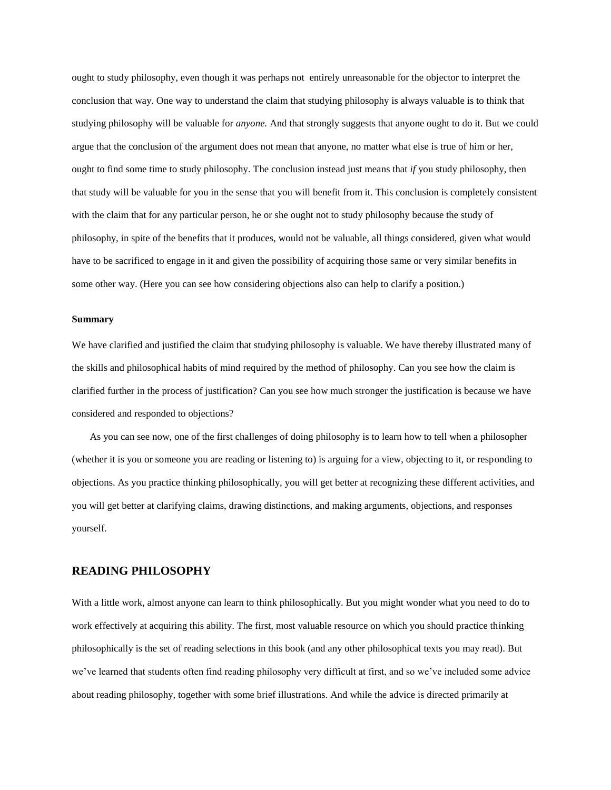ought to study philosophy, even though it was perhaps not entirely unreasonable for the objector to interpret the conclusion that way. One way to understand the claim that studying philosophy is always valuable is to think that studying philosophy will be valuable for *anyone.* And that strongly suggests that anyone ought to do it. But we could argue that the conclusion of the argument does not mean that anyone, no matter what else is true of him or her, ought to find some time to study philosophy. The conclusion instead just means that *if* you study philosophy, then that study will be valuable for you in the sense that you will benefit from it. This conclusion is completely consistent with the claim that for any particular person, he or she ought not to study philosophy because the study of philosophy, in spite of the benefits that it produces, would not be valuable, all things considered, given what would have to be sacrificed to engage in it and given the possibility of acquiring those same or very similar benefits in some other way. (Here you can see how considering objections also can help to clarify a position.)

### **Summary**

We have clarified and justified the claim that studying philosophy is valuable. We have thereby illustrated many of the skills and philosophical habits of mind required by the method of philosophy. Can you see how the claim is clarified further in the process of justification? Can you see how much stronger the justification is because we have considered and responded to objections?

As you can see now, one of the first challenges of doing philosophy is to learn how to tell when a philosopher (whether it is you or someone you are reading or listening to) is arguing for a view, objecting to it, or responding to objections. As you practice thinking philosophically, you will get better at recognizing these different activities, and you will get better at clarifying claims, drawing distinctions, and making arguments, objections, and responses yourself.

### **READING PHILOSOPHY**

With a little work, almost anyone can learn to think philosophically. But you might wonder what you need to do to work effectively at acquiring this ability. The first, most valuable resource on which you should practice thinking philosophically is the set of reading selections in this book (and any other philosophical texts you may read). But we've learned that students often find reading philosophy very difficult at first, and so we've included some advice about reading philosophy, together with some brief illustrations. And while the advice is directed primarily at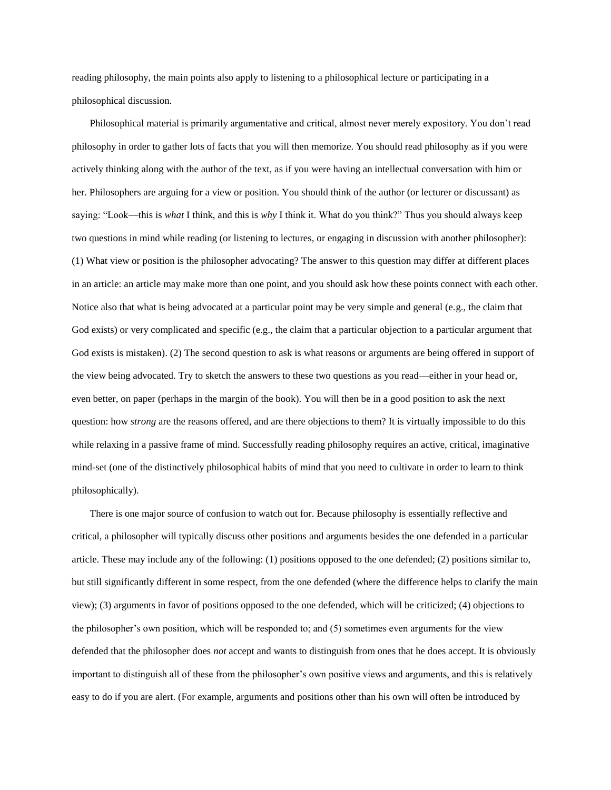reading philosophy, the main points also apply to listening to a philosophical lecture or participating in a philosophical discussion.

Philosophical material is primarily argumentative and critical, almost never merely expository. You don't read philosophy in order to gather lots of facts that you will then memorize. You should read philosophy as if you were actively thinking along with the author of the text, as if you were having an intellectual conversation with him or her. Philosophers are arguing for a view or position. You should think of the author (or lecturer or discussant) as saying: "Look—this is *what* I think, and this is *why* I think it. What do you think?" Thus you should always keep two questions in mind while reading (or listening to lectures, or engaging in discussion with another philosopher): (1) What view or position is the philosopher advocating? The answer to this question may differ at different places in an article: an article may make more than one point, and you should ask how these points connect with each other. Notice also that what is being advocated at a particular point may be very simple and general (e.g., the claim that God exists) or very complicated and specific (e.g., the claim that a particular objection to a particular argument that God exists is mistaken). (2) The second question to ask is what reasons or arguments are being offered in support of the view being advocated. Try to sketch the answers to these two questions as you read—either in your head or, even better, on paper (perhaps in the margin of the book). You will then be in a good position to ask the next question: how *strong* are the reasons offered, and are there objections to them? It is virtually impossible to do this while relaxing in a passive frame of mind. Successfully reading philosophy requires an active, critical, imaginative mind-set (one of the distinctively philosophical habits of mind that you need to cultivate in order to learn to think philosophically).

There is one major source of confusion to watch out for. Because philosophy is essentially reflective and critical, a philosopher will typically discuss other positions and arguments besides the one defended in a particular article. These may include any of the following: (1) positions opposed to the one defended; (2) positions similar to, but still significantly different in some respect, from the one defended (where the difference helps to clarify the main view); (3) arguments in favor of positions opposed to the one defended, which will be criticized; (4) objections to the philosopher's own position, which will be responded to; and (5) sometimes even arguments for the view defended that the philosopher does *not* accept and wants to distinguish from ones that he does accept. It is obviously important to distinguish all of these from the philosopher's own positive views and arguments, and this is relatively easy to do if you are alert. (For example, arguments and positions other than his own will often be introduced by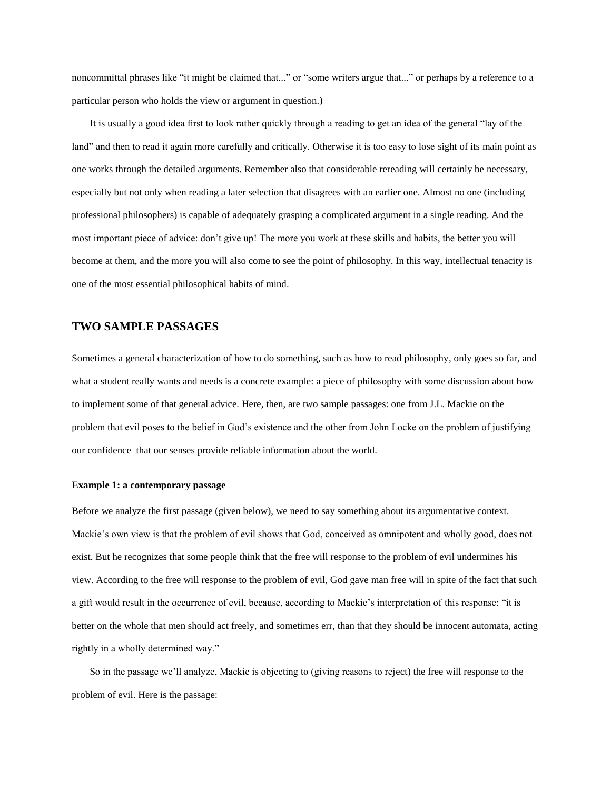noncommittal phrases like "it might be claimed that..." or "some writers argue that..." or perhaps by a reference to a particular person who holds the view or argument in question.)

It is usually a good idea first to look rather quickly through a reading to get an idea of the general "lay of the land" and then to read it again more carefully and critically. Otherwise it is too easy to lose sight of its main point as one works through the detailed arguments. Remember also that considerable rereading will certainly be necessary, especially but not only when reading a later selection that disagrees with an earlier one. Almost no one (including professional philosophers) is capable of adequately grasping a complicated argument in a single reading. And the most important piece of advice: don't give up! The more you work at these skills and habits, the better you will become at them, and the more you will also come to see the point of philosophy. In this way, intellectual tenacity is one of the most essential philosophical habits of mind.

### **TWO SAMPLE PASSAGES**

Sometimes a general characterization of how to do something, such as how to read philosophy, only goes so far, and what a student really wants and needs is a concrete example: a piece of philosophy with some discussion about how to implement some of that general advice. Here, then, are two sample passages: one from J.L. Mackie on the problem that evil poses to the belief in God's existence and the other from John Locke on the problem of justifying our confidence that our senses provide reliable information about the world.

#### **Example 1: a contemporary passage**

Before we analyze the first passage (given below), we need to say something about its argumentative context. Mackie's own view is that the problem of evil shows that God, conceived as omnipotent and wholly good, does not exist. But he recognizes that some people think that the free will response to the problem of evil undermines his view. According to the free will response to the problem of evil, God gave man free will in spite of the fact that such a gift would result in the occurrence of evil, because, according to Mackie's interpretation of this response: "it is better on the whole that men should act freely, and sometimes err, than that they should be innocent automata, acting rightly in a wholly determined way."

So in the passage we'll analyze, Mackie is objecting to (giving reasons to reject) the free will response to the problem of evil. Here is the passage: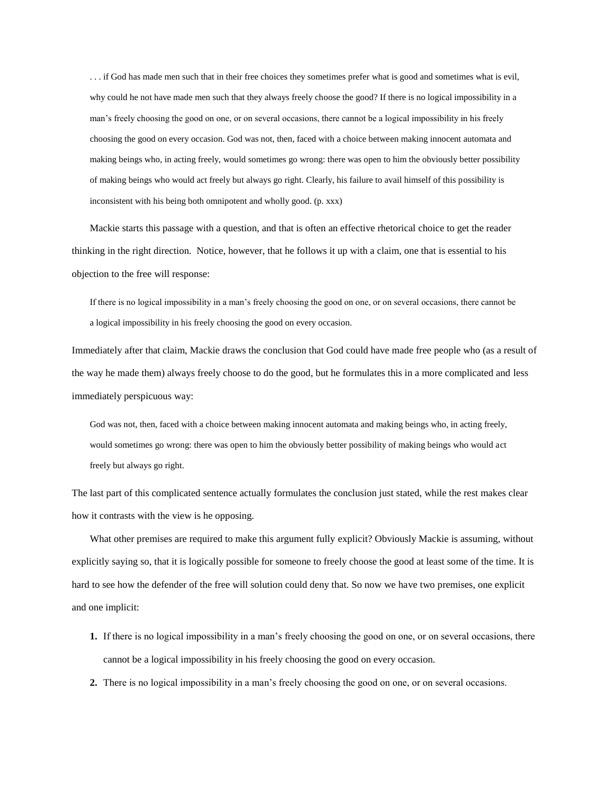. . . if God has made men such that in their free choices they sometimes prefer what is good and sometimes what is evil, why could he not have made men such that they always freely choose the good? If there is no logical impossibility in a man's freely choosing the good on one, or on several occasions, there cannot be a logical impossibility in his freely choosing the good on every occasion. God was not, then, faced with a choice between making innocent automata and making beings who, in acting freely, would sometimes go wrong: there was open to him the obviously better possibility of making beings who would act freely but always go right. Clearly, his failure to avail himself of this possibility is inconsistent with his being both omnipotent and wholly good. (p. xxx)

Mackie starts this passage with a question, and that is often an effective rhetorical choice to get the reader thinking in the right direction. Notice, however, that he follows it up with a claim, one that is essential to his objection to the free will response:

If there is no logical impossibility in a man's freely choosing the good on one, or on several occasions, there cannot be a logical impossibility in his freely choosing the good on every occasion.

Immediately after that claim, Mackie draws the conclusion that God could have made free people who (as a result of the way he made them) always freely choose to do the good, but he formulates this in a more complicated and less immediately perspicuous way:

God was not, then, faced with a choice between making innocent automata and making beings who, in acting freely, would sometimes go wrong: there was open to him the obviously better possibility of making beings who would act freely but always go right.

The last part of this complicated sentence actually formulates the conclusion just stated, while the rest makes clear how it contrasts with the view is he opposing.

What other premises are required to make this argument fully explicit? Obviously Mackie is assuming, without explicitly saying so, that it is logically possible for someone to freely choose the good at least some of the time. It is hard to see how the defender of the free will solution could deny that. So now we have two premises, one explicit and one implicit:

- **1.** If there is no logical impossibility in a man's freely choosing the good on one, or on several occasions, there cannot be a logical impossibility in his freely choosing the good on every occasion.
- **2.** There is no logical impossibility in a man's freely choosing the good on one, or on several occasions.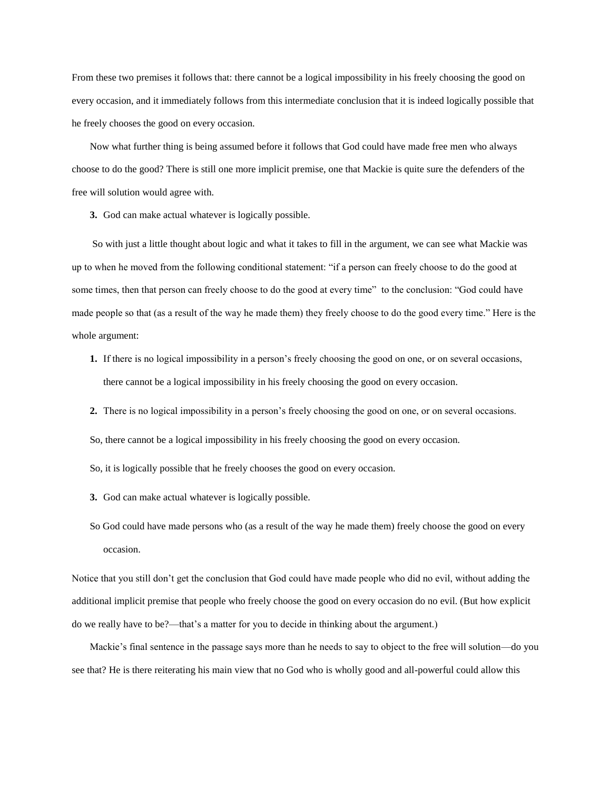From these two premises it follows that: there cannot be a logical impossibility in his freely choosing the good on every occasion, and it immediately follows from this intermediate conclusion that it is indeed logically possible that he freely chooses the good on every occasion.

Now what further thing is being assumed before it follows that God could have made free men who always choose to do the good? There is still one more implicit premise, one that Mackie is quite sure the defenders of the free will solution would agree with.

**3.** God can make actual whatever is logically possible.

So with just a little thought about logic and what it takes to fill in the argument, we can see what Mackie was up to when he moved from the following conditional statement: "if a person can freely choose to do the good at some times, then that person can freely choose to do the good at every time" to the conclusion: "God could have made people so that (as a result of the way he made them) they freely choose to do the good every time." Here is the whole argument:

- **1.** If there is no logical impossibility in a person's freely choosing the good on one, or on several occasions, there cannot be a logical impossibility in his freely choosing the good on every occasion.
- **2.** There is no logical impossibility in a person's freely choosing the good on one, or on several occasions.

So, there cannot be a logical impossibility in his freely choosing the good on every occasion.

- So, it is logically possible that he freely chooses the good on every occasion.
- **3.** God can make actual whatever is logically possible.
- So God could have made persons who (as a result of the way he made them) freely choose the good on every occasion.

Notice that you still don't get the conclusion that God could have made people who did no evil, without adding the additional implicit premise that people who freely choose the good on every occasion do no evil. (But how explicit do we really have to be?—that's a matter for you to decide in thinking about the argument.)

Mackie's final sentence in the passage says more than he needs to say to object to the free will solution—do you see that? He is there reiterating his main view that no God who is wholly good and all-powerful could allow this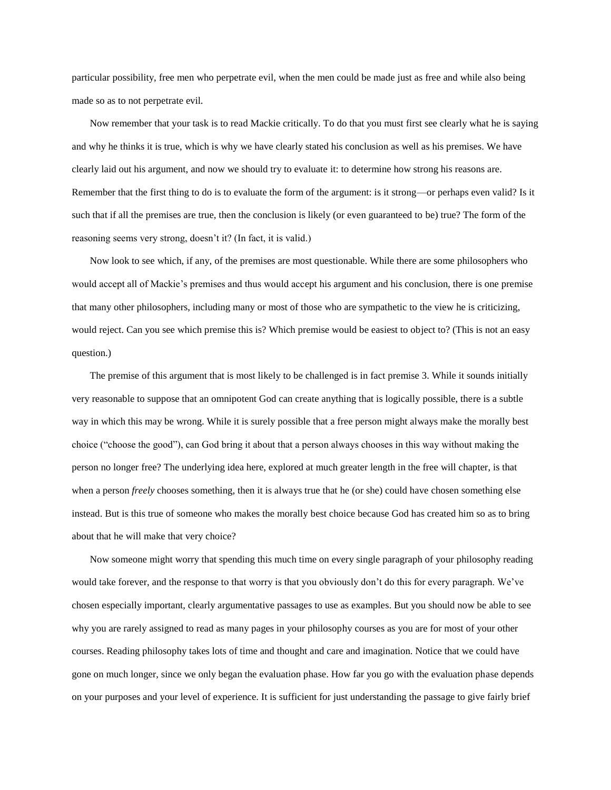particular possibility, free men who perpetrate evil, when the men could be made just as free and while also being made so as to not perpetrate evil.

Now remember that your task is to read Mackie critically. To do that you must first see clearly what he is saying and why he thinks it is true, which is why we have clearly stated his conclusion as well as his premises. We have clearly laid out his argument, and now we should try to evaluate it: to determine how strong his reasons are. Remember that the first thing to do is to evaluate the form of the argument: is it strong—or perhaps even valid? Is it such that if all the premises are true, then the conclusion is likely (or even guaranteed to be) true? The form of the reasoning seems very strong, doesn't it? (In fact, it is valid.)

Now look to see which, if any, of the premises are most questionable. While there are some philosophers who would accept all of Mackie's premises and thus would accept his argument and his conclusion, there is one premise that many other philosophers, including many or most of those who are sympathetic to the view he is criticizing, would reject. Can you see which premise this is? Which premise would be easiest to object to? (This is not an easy question.)

The premise of this argument that is most likely to be challenged is in fact premise 3. While it sounds initially very reasonable to suppose that an omnipotent God can create anything that is logically possible, there is a subtle way in which this may be wrong. While it is surely possible that a free person might always make the morally best choice ("choose the good"), can God bring it about that a person always chooses in this way without making the person no longer free? The underlying idea here, explored at much greater length in the free will chapter, is that when a person *freely* chooses something, then it is always true that he (or she) could have chosen something else instead. But is this true of someone who makes the morally best choice because God has created him so as to bring about that he will make that very choice?

Now someone might worry that spending this much time on every single paragraph of your philosophy reading would take forever, and the response to that worry is that you obviously don't do this for every paragraph. We've chosen especially important, clearly argumentative passages to use as examples. But you should now be able to see why you are rarely assigned to read as many pages in your philosophy courses as you are for most of your other courses. Reading philosophy takes lots of time and thought and care and imagination. Notice that we could have gone on much longer, since we only began the evaluation phase. How far you go with the evaluation phase depends on your purposes and your level of experience. It is sufficient for just understanding the passage to give fairly brief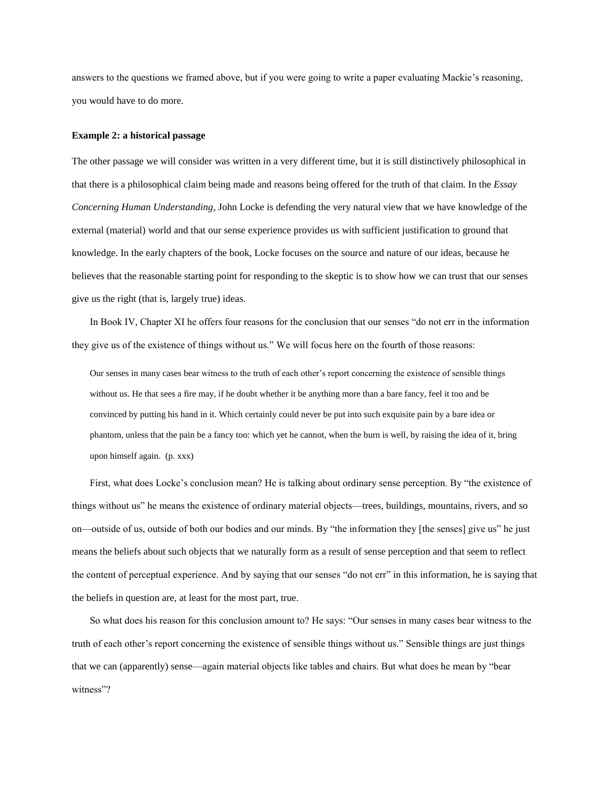answers to the questions we framed above, but if you were going to write a paper evaluating Mackie's reasoning, you would have to do more.

#### **Example 2: a historical passage**

The other passage we will consider was written in a very different time, but it is still distinctively philosophical in that there is a philosophical claim being made and reasons being offered for the truth of that claim. In the *Essay Concerning Human Understanding*, John Locke is defending the very natural view that we have knowledge of the external (material) world and that our sense experience provides us with sufficient justification to ground that knowledge. In the early chapters of the book, Locke focuses on the source and nature of our ideas, because he believes that the reasonable starting point for responding to the skeptic is to show how we can trust that our senses give us the right (that is, largely true) ideas.

In Book IV, Chapter XI he offers four reasons for the conclusion that our senses "do not err in the information they give us of the existence of things without us." We will focus here on the fourth of those reasons:

Our senses in many cases bear witness to the truth of each other's report concerning the existence of sensible things without us. He that sees a fire may, if he doubt whether it be anything more than a bare fancy, feel it too and be convinced by putting his hand in it. Which certainly could never be put into such exquisite pain by a bare idea or phantom, unless that the pain be a fancy too: which yet he cannot, when the burn is well, by raising the idea of it, bring upon himself again. (p. xxx)

First, what does Locke's conclusion mean? He is talking about ordinary sense perception. By "the existence of things without us" he means the existence of ordinary material objects—trees, buildings, mountains, rivers, and so on—outside of us, outside of both our bodies and our minds. By "the information they [the senses] give us" he just means the beliefs about such objects that we naturally form as a result of sense perception and that seem to reflect the content of perceptual experience. And by saying that our senses "do not err" in this information, he is saying that the beliefs in question are, at least for the most part, true.

So what does his reason for this conclusion amount to? He says: "Our senses in many cases bear witness to the truth of each other's report concerning the existence of sensible things without us." Sensible things are just things that we can (apparently) sense—again material objects like tables and chairs. But what does he mean by "bear witness"?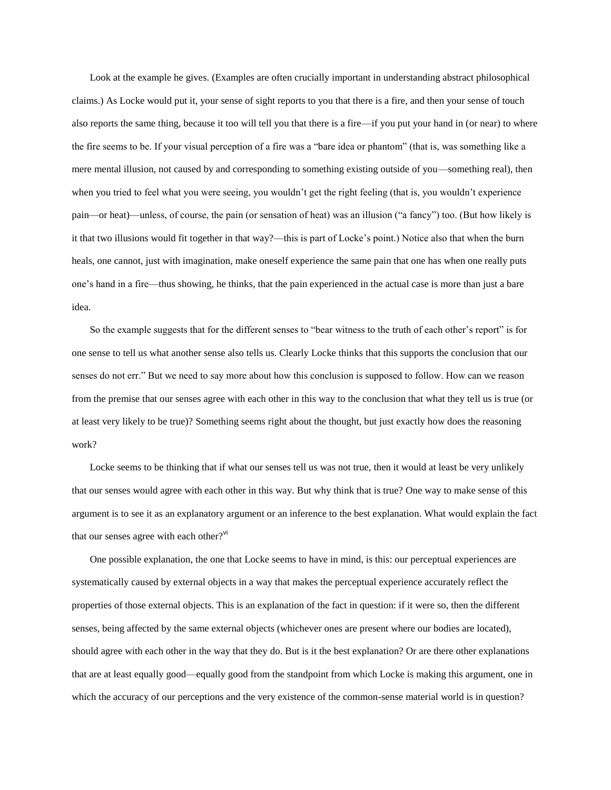Look at the example he gives. (Examples are often crucially important in understanding abstract philosophical claims.) As Locke would put it, your sense of sight reports to you that there is a fire, and then your sense of touch also reports the same thing, because it too will tell you that there is a fire—if you put your hand in (or near) to where the fire seems to be. If your visual perception of a fire was a "bare idea or phantom" (that is, was something like a mere mental illusion, not caused by and corresponding to something existing outside of you—something real), then when you tried to feel what you were seeing, you wouldn't get the right feeling (that is, you wouldn't experience pain—or heat)—unless, of course, the pain (or sensation of heat) was an illusion ("a fancy") too. (But how likely is it that two illusions would fit together in that way?—this is part of Locke's point.) Notice also that when the burn heals, one cannot, just with imagination, make oneself experience the same pain that one has when one really puts one's hand in a fire—thus showing, he thinks, that the pain experienced in the actual case is more than just a bare idea.

So the example suggests that for the different senses to "bear witness to the truth of each other's report" is for one sense to tell us what another sense also tells us. Clearly Locke thinks that this supports the conclusion that our senses do not err." But we need to say more about how this conclusion is supposed to follow. How can we reason from the premise that our senses agree with each other in this way to the conclusion that what they tell us is true (or at least very likely to be true)? Something seems right about the thought, but just exactly how does the reasoning work?

Locke seems to be thinking that if what our senses tell us was not true, then it would at least be very unlikely that our senses would agree with each other in this way. But why think that is true? One way to make sense of this argument is to see it as an explanatory argument or an inference to the best explanation. What would explain the fact that our senses agree with each other? $v^{\text{vi}}$ 

One possible explanation, the one that Locke seems to have in mind, is this: our perceptual experiences are systematically caused by external objects in a way that makes the perceptual experience accurately reflect the properties of those external objects. This is an explanation of the fact in question: if it were so, then the different senses, being affected by the same external objects (whichever ones are present where our bodies are located), should agree with each other in the way that they do. But is it the best explanation? Or are there other explanations that are at least equally good—equally good from the standpoint from which Locke is making this argument, one in which the accuracy of our perceptions and the very existence of the common-sense material world is in question?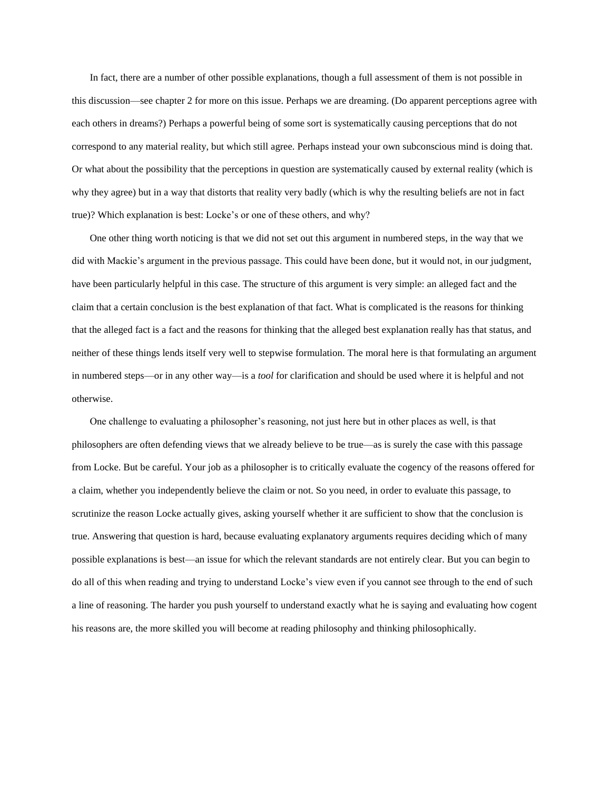In fact, there are a number of other possible explanations, though a full assessment of them is not possible in this discussion—see chapter 2 for more on this issue. Perhaps we are dreaming. (Do apparent perceptions agree with each others in dreams?) Perhaps a powerful being of some sort is systematically causing perceptions that do not correspond to any material reality, but which still agree. Perhaps instead your own subconscious mind is doing that. Or what about the possibility that the perceptions in question are systematically caused by external reality (which is why they agree) but in a way that distorts that reality very badly (which is why the resulting beliefs are not in fact true)? Which explanation is best: Locke's or one of these others, and why?

One other thing worth noticing is that we did not set out this argument in numbered steps, in the way that we did with Mackie's argument in the previous passage. This could have been done, but it would not, in our judgment, have been particularly helpful in this case. The structure of this argument is very simple: an alleged fact and the claim that a certain conclusion is the best explanation of that fact. What is complicated is the reasons for thinking that the alleged fact is a fact and the reasons for thinking that the alleged best explanation really has that status, and neither of these things lends itself very well to stepwise formulation. The moral here is that formulating an argument in numbered steps—or in any other way—is a *tool* for clarification and should be used where it is helpful and not otherwise.

One challenge to evaluating a philosopher's reasoning, not just here but in other places as well, is that philosophers are often defending views that we already believe to be true—as is surely the case with this passage from Locke. But be careful. Your job as a philosopher is to critically evaluate the cogency of the reasons offered for a claim, whether you independently believe the claim or not. So you need, in order to evaluate this passage, to scrutinize the reason Locke actually gives, asking yourself whether it are sufficient to show that the conclusion is true. Answering that question is hard, because evaluating explanatory arguments requires deciding which of many possible explanations is best—an issue for which the relevant standards are not entirely clear. But you can begin to do all of this when reading and trying to understand Locke's view even if you cannot see through to the end of such a line of reasoning. The harder you push yourself to understand exactly what he is saying and evaluating how cogent his reasons are, the more skilled you will become at reading philosophy and thinking philosophically.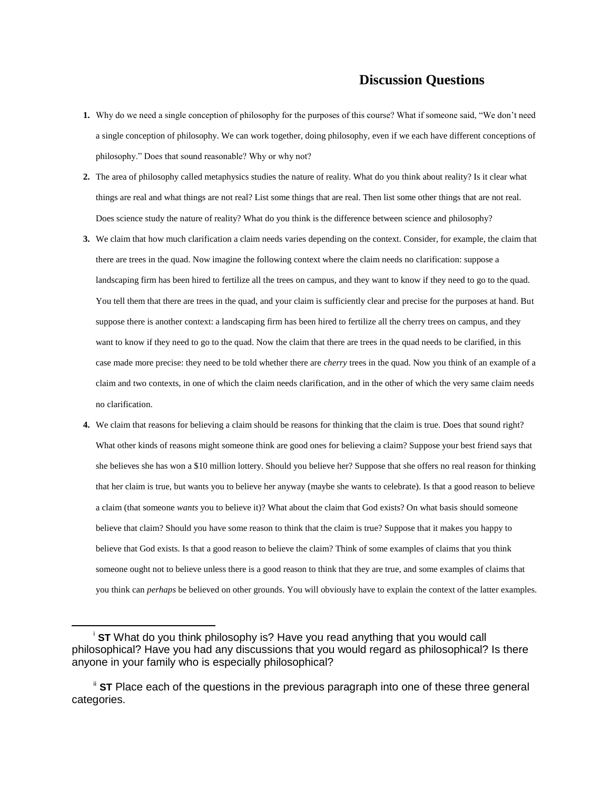## **Discussion Questions**

- **1.** Why do we need a single conception of philosophy for the purposes of this course? What if someone said, "We don't need a single conception of philosophy. We can work together, doing philosophy, even if we each have different conceptions of philosophy." Does that sound reasonable? Why or why not?
- **2.** The area of philosophy called metaphysics studies the nature of reality. What do you think about reality? Is it clear what things are real and what things are not real? List some things that are real. Then list some other things that are not real. Does science study the nature of reality? What do you think is the difference between science and philosophy?
- **3.** We claim that how much clarification a claim needs varies depending on the context. Consider, for example, the claim that there are trees in the quad. Now imagine the following context where the claim needs no clarification: suppose a landscaping firm has been hired to fertilize all the trees on campus, and they want to know if they need to go to the quad. You tell them that there are trees in the quad, and your claim is sufficiently clear and precise for the purposes at hand. But suppose there is another context: a landscaping firm has been hired to fertilize all the cherry trees on campus, and they want to know if they need to go to the quad. Now the claim that there are trees in the quad needs to be clarified, in this case made more precise: they need to be told whether there are *cherry* trees in the quad. Now you think of an example of a claim and two contexts, in one of which the claim needs clarification, and in the other of which the very same claim needs no clarification.
- **4.** We claim that reasons for believing a claim should be reasons for thinking that the claim is true. Does that sound right? What other kinds of reasons might someone think are good ones for believing a claim? Suppose your best friend says that she believes she has won a \$10 million lottery. Should you believe her? Suppose that she offers no real reason for thinking that her claim is true, but wants you to believe her anyway (maybe she wants to celebrate). Is that a good reason to believe a claim (that someone *wants* you to believe it)? What about the claim that God exists? On what basis should someone believe that claim? Should you have some reason to think that the claim is true? Suppose that it makes you happy to believe that God exists. Is that a good reason to believe the claim? Think of some examples of claims that you think someone ought not to believe unless there is a good reason to think that they are true, and some examples of claims that you think can *perhaps* be believed on other grounds. You will obviously have to explain the context of the latter examples.

 $\overline{a}$ 

i **ST** What do you think philosophy is? Have you read anything that you would call philosophical? Have you had any discussions that you would regard as philosophical? Is there anyone in your family who is especially philosophical?

**ST** Place each of the questions in the previous paragraph into one of these three general categories.